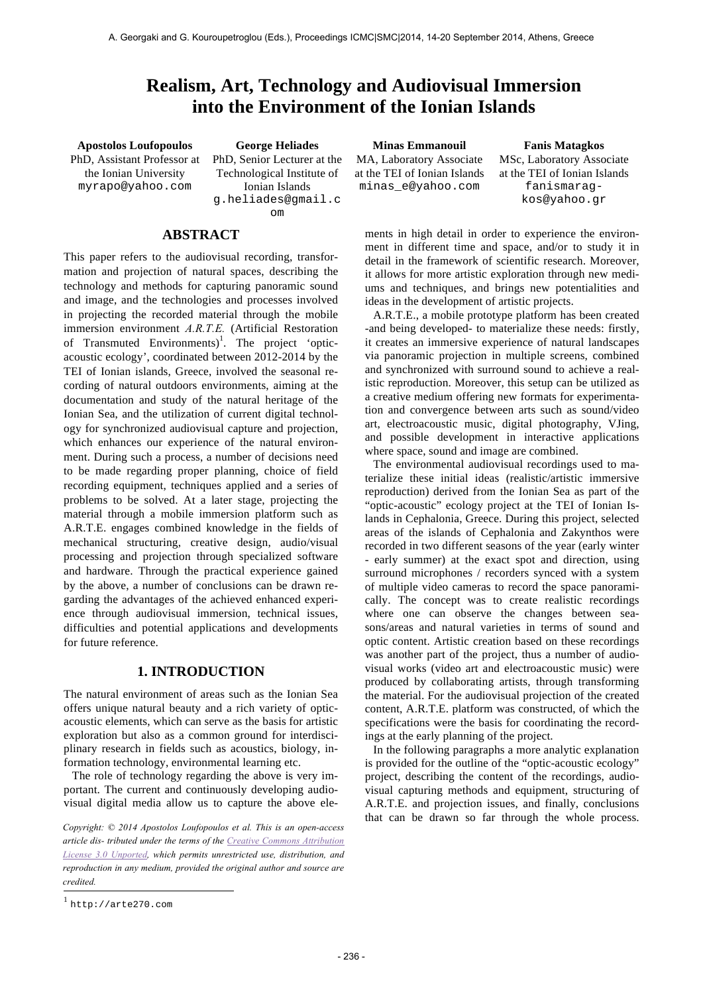# **Realism, Art, Technology and Audiovisual Immersion into the Environment of the Ionian Islands**

PhD, Assistant Professor at the Ionian University myrapo@yahoo.com

PhD, Senior Lecturer at the Technological Institute of Ionian Islands g.heliades@gmail.c om

## **ABSTRACT**

This paper refers to the audiovisual recording, transformation and projection of natural spaces, describing the technology and methods for capturing panoramic sound and image, and the technologies and processes involved in projecting the recorded material through the mobile immersion environment *A.R.T.E.* (Artificial Restoration of Transmuted Environments)<sup>1</sup>. The project 'opticacoustic ecology', coordinated between 2012-2014 by the TEI of Ionian islands, Greece, involved the seasonal recording of natural outdoors environments, aiming at the documentation and study of the natural heritage of the Ionian Sea, and the utilization of current digital technology for synchronized audiovisual capture and projection, which enhances our experience of the natural environment. During such a process, a number of decisions need to be made regarding proper planning, choice of field recording equipment, techniques applied and a series of problems to be solved. At a later stage, projecting the material through a mobile immersion platform such as A.R.T.E. engages combined knowledge in the fields of mechanical structuring, creative design, audio/visual processing and projection through specialized software and hardware. Through the practical experience gained by the above, a number of conclusions can be drawn regarding the advantages of the achieved enhanced experience through audiovisual immersion, technical issues, difficulties and potential applications and developments for future reference.

# **1. INTRODUCTION**

The natural environment of areas such as the Ionian Sea offers unique natural beauty and a rich variety of opticacoustic elements, which can serve as the basis for artistic exploration but also as a common ground for interdisciplinary research in fields such as acoustics, biology, information technology, environmental learning etc.

The role of technology regarding the above is very important. The current and continuously developing audiovisual digital media allow us to capture the above ele-

 *credited. article dis- tributed under the terms of the Creative Commons Attribution License 3.0 Unported, which permits unrestricted use, distribution, and reproduction in any medium, provided the original author and source are* 

**Apostolos Loufopoulos George Heliades Minas Emmanouil Fanis Matagkos** MA, Laboratory Associate at the TEI of Ionian Islands minas\_e@yahoo.com

MSc, Laboratory Associate at the TEI of Ionian Islands fanismaragkos@yahoo.gr

ments in high detail in order to experience the environment in different time and space, and/or to study it in detail in the framework of scientific research. Moreover, it allows for more artistic exploration through new mediums and techniques, and brings new potentialities and ideas in the development of artistic projects.

A.R.T.E., a mobile prototype platform has been created -and being developed- to materialize these needs: firstly, it creates an immersive experience of natural landscapes via panoramic projection in multiple screens, combined and synchronized with surround sound to achieve a realistic reproduction. Moreover, this setup can be utilized as a creative medium offering new formats for experimentation and convergence between arts such as sound/video art, electroacoustic music, digital photography, VJing, and possible development in interactive applications where space, sound and image are combined.

The environmental audiovisual recordings used to materialize these initial ideas (realistic/artistic immersive reproduction) derived from the Ionian Sea as part of the "optic-acoustic" ecology project at the TEI of Ionian Islands in Cephalonia, Greece. During this project, selected areas of the islands of Cephalonia and Zakynthos were recorded in two different seasons of the year (early winter - early summer) at the exact spot and direction, using surround microphones / recorders synced with a system of multiple video cameras to record the space panoramically. The concept was to create realistic recordings where one can observe the changes between seasons/areas and natural varieties in terms of sound and optic content. Artistic creation based on these recordings was another part of the project, thus a number of audiovisual works (video art and electroacoustic music) were produced by collaborating artists, through transforming the material. For the audiovisual projection of the created content, A.R.T.E. platform was constructed, of which the specifications were the basis for coordinating the recordings at the early planning of the project.

In the following paragraphs a more analytic explanation is provided for the outline of the "optic-acoustic ecology" project, describing the content of the recordings, audiovisual capturing methods and equipment, structuring of A.R.T.E. and projection issues, and finally, conclusions that can be drawn so far through the whole process. *Copyright: © 2014 Apostolos Loufopoulos et al. This is an open-access* 

<sup>1</sup> http://arte270.com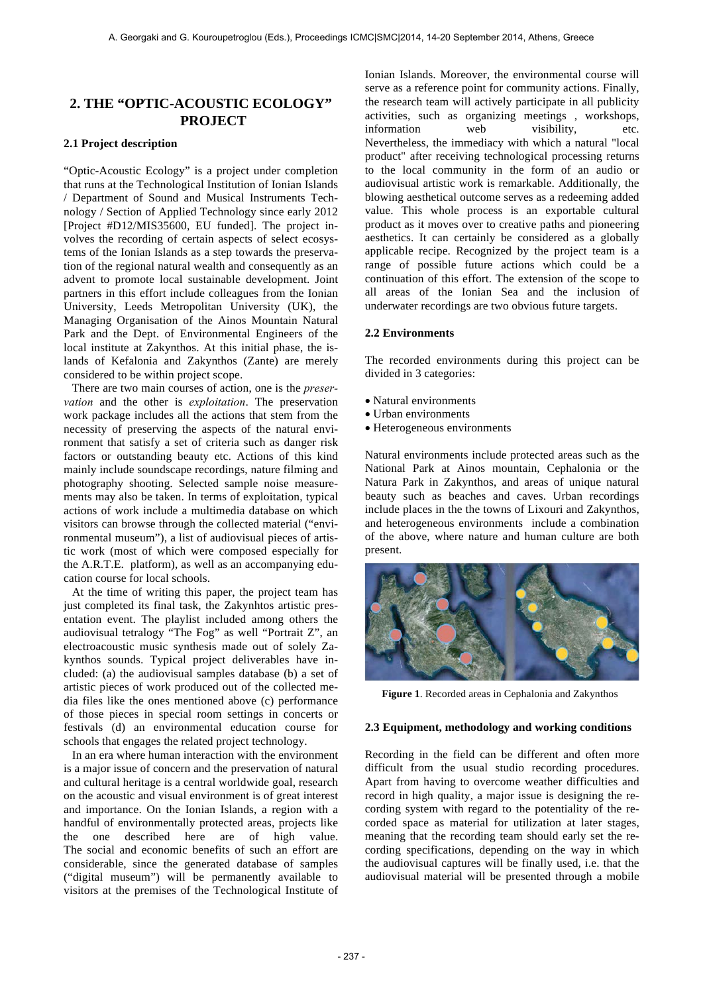# **2. THE "OPTIC-ACOUSTIC ECOLOGY" PROJECT**

### **2.1 Project description**

"Optic-Acoustic Ecology" is a project under completion that runs at the Technological Institution of Ionian Islands / Department of Sound and Musical Instruments Technology / Section of Applied Technology since early 2012 [Project #D12/MIS35600, EU funded]. The project involves the recording of certain aspects of select ecosystems of the Ionian Islands as a step towards the preservation of the regional natural wealth and consequently as an advent to promote local sustainable development. Joint partners in this effort include colleagues from the Ionian University, Leeds Metropolitan University (UK), the Managing Organisation of the Ainos Mountain Natural Park and the Dept. of Environmental Engineers of the local institute at Zakynthos. At this initial phase, the islands of Kefalonia and Zakynthos (Zante) are merely considered to be within project scope.

There are two main courses of action, one is the *preservation* and the other is *exploitation*. The preservation work package includes all the actions that stem from the necessity of preserving the aspects of the natural environment that satisfy a set of criteria such as danger risk factors or outstanding beauty etc. Actions of this kind mainly include soundscape recordings, nature filming and photography shooting. Selected sample noise measurements may also be taken. In terms of exploitation, typical actions of work include a multimedia database on which visitors can browse through the collected material ("environmental museum"), a list of audiovisual pieces of artistic work (most of which were composed especially for the A.R.T.E. platform), as well as an accompanying education course for local schools.

At the time of writing this paper, the project team has just completed its final task, the Zakynhtos artistic presentation event. The playlist included among others the audiovisual tetralogy "The Fog" as well "Portrait Z", an electroacoustic music synthesis made out of solely Zakynthos sounds. Typical project deliverables have included: (a) the audiovisual samples database (b) a set of artistic pieces of work produced out of the collected media files like the ones mentioned above (c) performance of those pieces in special room settings in concerts or festivals (d) an environmental education course for schools that engages the related project technology.

In an era where human interaction with the environment is a major issue of concern and the preservation of natural and cultural heritage is a central worldwide goal, research on the acoustic and visual environment is of great interest and importance. On the Ionian Islands, a region with a handful of environmentally protected areas, projects like the one described here are of high value. The social and economic benefits of such an effort are considerable, since the generated database of samples ("digital museum") will be permanently available to visitors at the premises of the Technological Institute of Ionian Islands. Moreover, the environmental course will serve as a reference point for community actions. Finally, the research team will actively participate in all publicity activities, such as organizing meetings , workshops, information web visibility, etc. Nevertheless, the immediacy with which a natural "local product" after receiving technological processing returns to the local community in the form of an audio or audiovisual artistic work is remarkable. Additionally, the blowing aesthetical outcome serves as a redeeming added value. This whole process is an exportable cultural product as it moves over to creative paths and pioneering aesthetics. It can certainly be considered as a globally applicable recipe. Recognized by the project team is a range of possible future actions which could be a continuation of this effort. The extension of the scope to all areas of the Ionian Sea and the inclusion of underwater recordings are two obvious future targets.

### **2.2 Environments**

The recorded environments during this project can be divided in 3 categories:

- Natural environments
- Urban environments
- Heterogeneous environments

Natural environments include protected areas such as the National Park at Ainos mountain, Cephalonia or the Natura Park in Zakynthos, and areas of unique natural beauty such as beaches and caves. Urban recordings include places in the the towns of Lixouri and Zakynthos, and heterogeneous environments include a combination of the above, where nature and human culture are both present.



**Figure 1**. Recorded areas in Cephalonia and Zakynthos

#### **2.3 Equipment, methodology and working conditions**

Recording in the field can be different and often more difficult from the usual studio recording procedures. Apart from having to overcome weather difficulties and record in high quality, a major issue is designing the recording system with regard to the potentiality of the recorded space as material for utilization at later stages, meaning that the recording team should early set the recording specifications, depending on the way in which the audiovisual captures will be finally used, i.e. that the audiovisual material will be presented through a mobile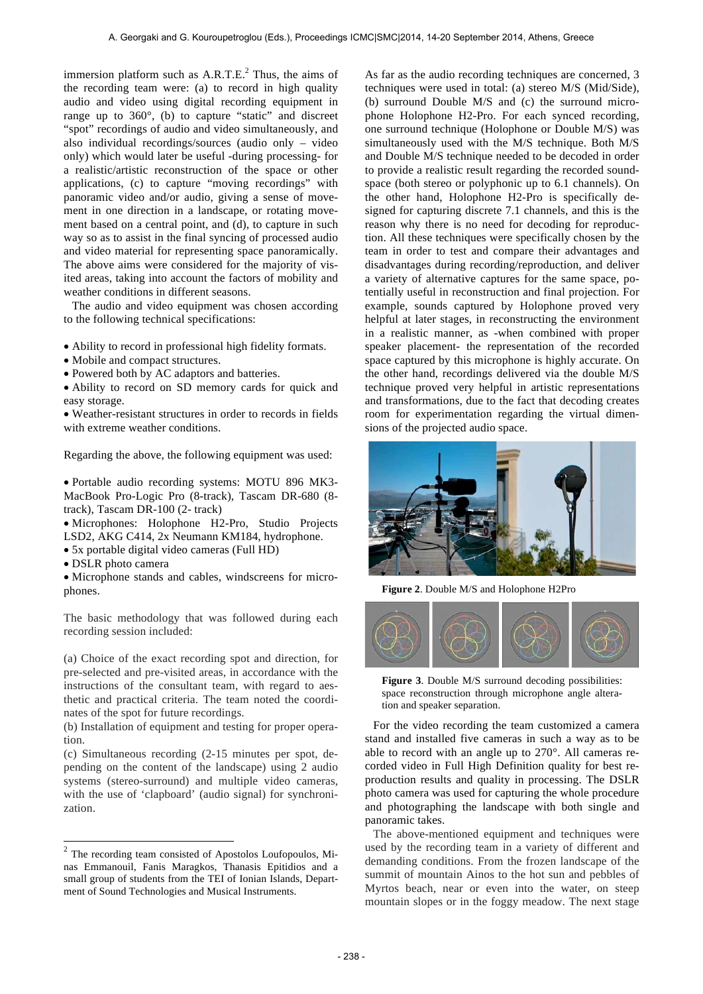immersion platform such as  $A.R.T.E.<sup>2</sup>$  Thus, the aims of the recording team were: (a) to record in high quality audio and video using digital recording equipment in range up to 360°, (b) to capture "static" and discreet "spot" recordings of audio and video simultaneously, and also individual recordings/sources (audio only – video only) which would later be useful -during processing- for a realistic/artistic reconstruction of the space or other applications, (c) to capture "moving recordings" with panoramic video and/or audio, giving a sense of movement in one direction in a landscape, or rotating movement based on a central point, and (d), to capture in such way so as to assist in the final syncing of processed audio and video material for representing space panoramically. The above aims were considered for the majority of visited areas, taking into account the factors of mobility and weather conditions in different seasons.

The audio and video equipment was chosen according to the following technical specifications:

- Ability to record in professional high fidelity formats.
- Mobile and compact structures.
- Powered both by AC adaptors and batteries.
- Ability to record on SD memory cards for quick and easy storage.

• Weather-resistant structures in order to records in fields with extreme weather conditions.

Regarding the above, the following equipment was used:

• Portable audio recording systems: MOTU 896 MK3- MacBook Pro-Logic Pro (8-track), Tascam DR-680 (8 track), Tascam DR-100 (2- track)

• Microphones: Holophone H2-Pro, Studio Projects LSD2, AKG C414, 2x Neumann KM184, hydrophone.

- 5x portable digital video cameras (Full HD)
- DSLR photo camera

1

• Microphone stands and cables, windscreens for microphones.

The basic methodology that was followed during each recording session included:

(a) Choice of the exact recording spot and direction, for pre-selected and pre-visited areas, in accordance with the instructions of the consultant team, with regard to aesthetic and practical criteria. The team noted the coordinates of the spot for future recordings.

(b) Installation of equipment and testing for proper operation.

(c) Simultaneous recording (2-15 minutes per spot, depending on the content of the landscape) using 2 audio systems (stereo-surround) and multiple video cameras, with the use of 'clapboard' (audio signal) for synchronization.

As far as the audio recording techniques are concerned, 3 techniques were used in total: (a) stereo M/S (Mid/Side), (b) surround Double M/S and (c) the surround microphone Holophone H2-Pro. For each synced recording, one surround technique (Holophone or Double M/S) was simultaneously used with the M/S technique. Both M/S and Double M/S technique needed to be decoded in order to provide a realistic result regarding the recorded soundspace (both stereo or polyphonic up to 6.1 channels). On the other hand, Holophone H2-Pro is specifically designed for capturing discrete 7.1 channels, and this is the reason why there is no need for decoding for reproduction. All these techniques were specifically chosen by the team in order to test and compare their advantages and disadvantages during recording/reproduction, and deliver a variety of alternative captures for the same space, potentially useful in reconstruction and final projection. For example, sounds captured by Holophone proved very helpful at later stages, in reconstructing the environment in a realistic manner, as -when combined with proper speaker placement- the representation of the recorded space captured by this microphone is highly accurate. On the other hand, recordings delivered via the double M/S technique proved very helpful in artistic representations and transformations, due to the fact that decoding creates room for experimentation regarding the virtual dimensions of the projected audio space.



**Figure 2**. Double M/S and Holophone H2Pro



**Figure 3.** Double M/S surround decoding possibilities: space reconstruction through microphone angle alteration and speaker separation.

For the video recording the team customized a camera stand and installed five cameras in such a way as to be able to record with an angle up to 270°. All cameras recorded video in Full High Definition quality for best reproduction results and quality in processing. The DSLR photo camera was used for capturing the whole procedure and photographing the landscape with both single and panoramic takes.

The above-mentioned equipment and techniques were used by the recording team in a variety of different and demanding conditions. From the frozen landscape of the summit of mountain Ainos to the hot sun and pebbles of Myrtos beach, near or even into the water, on steep mountain slopes or in the foggy meadow. The next stage

<sup>2</sup> The recording team consisted of Apostolos Loufopoulos, Minas Emmanouil, Fanis Maragkos, Thanasis Epitidios and a small group of students from the TEI of Ionian Islands, Department of Sound Technologies and Musical Instruments.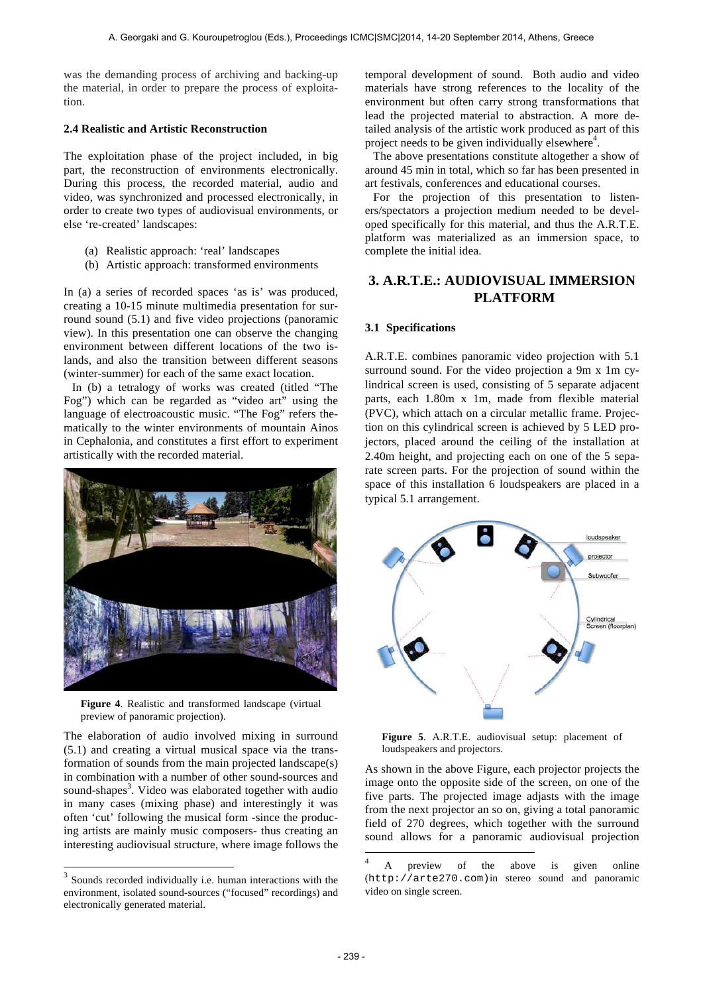was the demanding process of archiving and backing-up the material, in order to prepare the process of exploitation.

### **2.4 Realistic and Artistic Reconstruction**

The exploitation phase of the project included, in big part, the reconstruction of environments electronically. During this process, the recorded material, audio and video, was synchronized and processed electronically, in order to create two types of audiovisual environments, or else 're-created' landscapes:

- (a) Realistic approach: 'real' landscapes
- (b) Artistic approach: transformed environments

In (a) a series of recorded spaces 'as is' was produced, creating a 10-15 minute multimedia presentation for surround sound (5.1) and five video projections (panoramic view). In this presentation one can observe the changing environment between different locations of the two islands, and also the transition between different seasons (winter-summer) for each of the same exact location.

In (b) a tetralogy of works was created (titled "The Fog") which can be regarded as "video art" using the language of electroacoustic music. "The Fog" refers thematically to the winter environments of mountain Ainos in Cephalonia, and constitutes a first effort to experiment artistically with the recorded material.



**Figure 4**. Realistic and transformed landscape (virtual preview of panoramic projection).

The elaboration of audio involved mixing in surround (5.1) and creating a virtual musical space via the transformation of sounds from the main projected landscape(s) in combination with a number of other sound-sources and sound-shapes<sup>3</sup>. Video was elaborated together with audio in many cases (mixing phase) and interestingly it was often 'cut' following the musical form -since the producing artists are mainly music composers- thus creating an interesting audiovisual structure, where image follows the

1

temporal development of sound. Both audio and video materials have strong references to the locality of the environment but often carry strong transformations that lead the projected material to abstraction. A more detailed analysis of the artistic work produced as part of this project needs to be given individually elsewhere<sup>4</sup>.

The above presentations constitute altogether a show of around 45 min in total, which so far has been presented in art festivals, conferences and educational courses.

For the projection of this presentation to listeners/spectators a projection medium needed to be developed specifically for this material, and thus the A.R.T.E. platform was materialized as an immersion space, to complete the initial idea.

# **3. A.R.T.E.: AUDIOVISUAL IMMERSION PLATFORM**

### **3.1 Specifications**

A.R.T.E. combines panoramic video projection with 5.1 surround sound. For the video projection a 9m x 1m cylindrical screen is used, consisting of 5 separate adjacent parts, each 1.80m x 1m, made from flexible material (PVC), which attach on a circular metallic frame. Projection on this cylindrical screen is achieved by 5 LED projectors, placed around the ceiling of the installation at 2.40m height, and projecting each on one of the 5 separate screen parts. For the projection of sound within the space of this installation 6 loudspeakers are placed in a typical 5.1 arrangement.



**Figure 5**. A.R.T.E. audiovisual setup: placement of loudspeakers and projectors.

As shown in the above Figure, each projector projects the image onto the opposite side of the screen, on one of the five parts. The projected image adjasts with the image from the next projector an so on, giving a total panoramic field of 270 degrees, which together with the surround sound allows for a panoramic audiovisual projection

1

<sup>3</sup> Sounds recorded individually i.e. human interactions with the environment, isolated sound-sources ("focused" recordings) and electronically generated material.

<sup>4</sup> A preview of the above is given online (http://arte270.com)in stereo sound and panoramic video on single screen.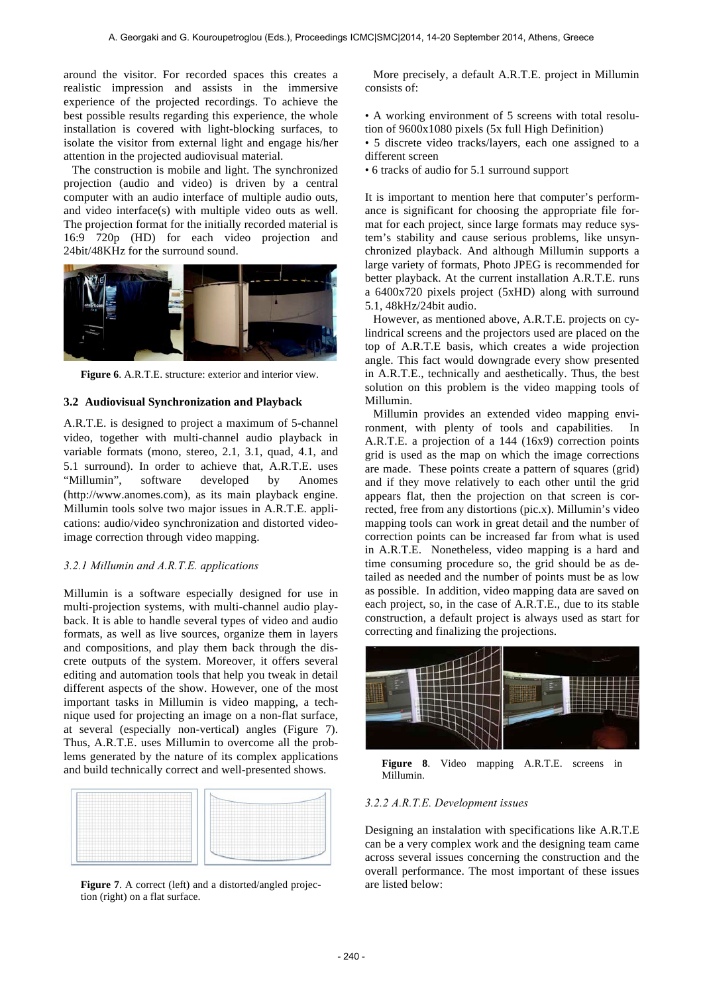around the visitor. For recorded spaces this creates a realistic impression and assists in the immersive experience of the projected recordings. To achieve the best possible results regarding this experience, the whole installation is covered with light-blocking surfaces, to isolate the visitor from external light and engage his/her attention in the projected audiovisual material.

The construction is mobile and light. The synchronized projection (audio and video) is driven by a central computer with an audio interface of multiple audio outs, and video interface(s) with multiple video outs as well. The projection format for the initially recorded material is 16:9 720p (HD) for each video projection and 24bit/48KHz for the surround sound.



**Figure 6**. A.R.T.E. structure: exterior and interior view.

#### **3.2 Audiovisual Synchronization and Playback**

A.R.T.E. is designed to project a maximum of 5-channel video, together with multi-channel audio playback in variable formats (mono, stereo, 2.1, 3.1, quad, 4.1, and 5.1 surround). In order to achieve that, A.R.T.E. uses "Millumin", software developed by Anomes (http://www.anomes.com), as its main playback engine. Millumin tools solve two major issues in A.R.T.E. applications: audio/video synchronization and distorted videoimage correction through video mapping.

### *3.2.1 Millumin and A.R.T.E. applications*

Millumin is a software especially designed for use in multi-projection systems, with multi-channel audio playback. It is able to handle several types of video and audio formats, as well as live sources, organize them in layers and compositions, and play them back through the discrete outputs of the system. Moreover, it offers several editing and automation tools that help you tweak in detail different aspects of the show. However, one of the most important tasks in Millumin is video mapping, a technique used for projecting an image on a non-flat surface, at several (especially non-vertical) angles (Figure 7). Thus, A.R.T.E. uses Millumin to overcome all the problems generated by the nature of its complex applications and build technically correct and well-presented shows.



Figure 7. A correct (left) and a distorted/angled projection (right) on a flat surface.

More precisely, a default A.R.T.E. project in Millumin consists of:

• A working environment of 5 screens with total resolution of 9600x1080 pixels (5x full High Definition)

• 5 discrete video tracks/layers, each one assigned to a different screen

• 6 tracks of audio for 5.1 surround support

It is important to mention here that computer's performance is significant for choosing the appropriate file format for each project, since large formats may reduce system's stability and cause serious problems, like unsynchronized playback. And although Millumin supports a large variety of formats, Photo JPEG is recommended for better playback. At the current installation A.R.T.E. runs a 6400x720 pixels project (5xHD) along with surround 5.1, 48kHz/24bit audio.

However, as mentioned above, A.R.T.E. projects on cylindrical screens and the projectors used are placed on the top of A.R.T.E basis, which creates a wide projection angle. This fact would downgrade every show presented in A.R.T.E., technically and aesthetically. Thus, the best solution on this problem is the video mapping tools of Millumin.

Millumin provides an extended video mapping environment, with plenty of tools and capabilities. In A.R.T.E. a projection of a 144 (16x9) correction points grid is used as the map on which the image corrections are made. These points create a pattern of squares (grid) and if they move relatively to each other until the grid appears flat, then the projection on that screen is corrected, free from any distortions (pic.x). Millumin's video mapping tools can work in great detail and the number of correction points can be increased far from what is used in A.R.T.E. Nonetheless, video mapping is a hard and time consuming procedure so, the grid should be as detailed as needed and the number of points must be as low as possible. In addition, video mapping data are saved on each project, so, in the case of A.R.T.E., due to its stable construction, a default project is always used as start for correcting and finalizing the projections.



**Figure 8**. Video mapping A.R.T.E. screens in Millumin.

### *3.2.2 A.R.T.E. Development issues*

Designing an instalation with specifications like A.R.T.E can be a very complex work and the designing team came across several issues concerning the construction and the overall performance. The most important of these issues are listed below: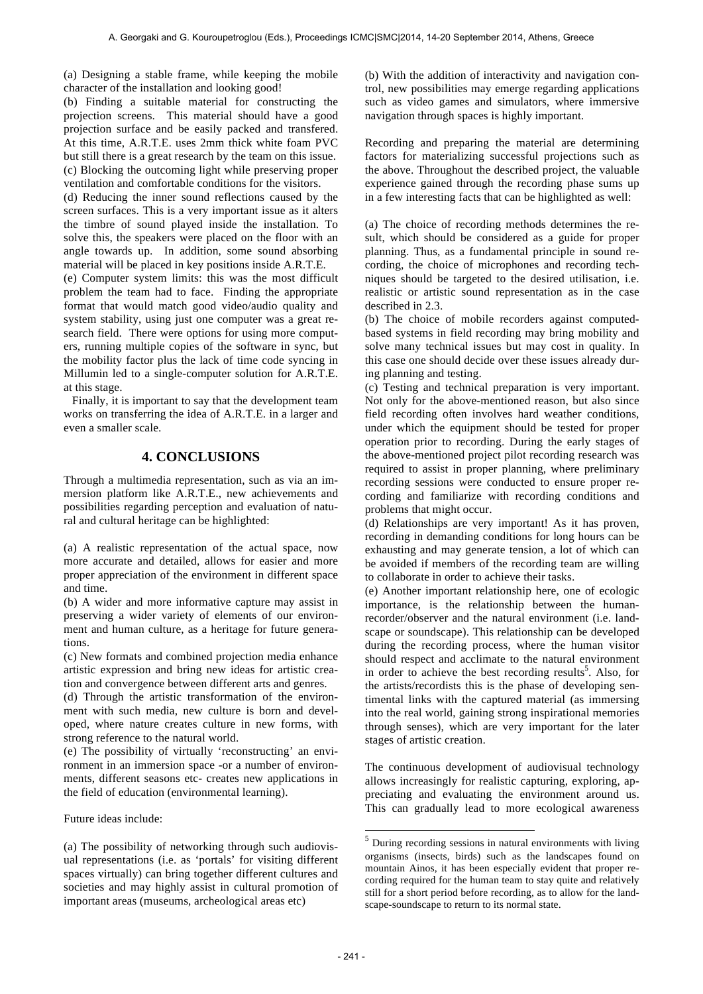(a) Designing a stable frame, while keeping the mobile character of the installation and looking good!

(b) Finding a suitable material for constructing the projection screens. This material should have a good projection surface and be easily packed and transfered. At this time, A.R.T.E. uses 2mm thick white foam PVC but still there is a great research by the team on this issue. (c) Blocking the outcoming light while preserving proper ventilation and comfortable conditions for the visitors.

(d) Reducing the inner sound reflections caused by the screen surfaces. This is a very important issue as it alters the timbre of sound played inside the installation. To solve this, the speakers were placed on the floor with an angle towards up. In addition, some sound absorbing material will be placed in key positions inside A.R.T.E.

(e) Computer system limits: this was the most difficult problem the team had to face. Finding the appropriate format that would match good video/audio quality and system stability, using just one computer was a great research field. There were options for using more computers, running multiple copies of the software in sync, but the mobility factor plus the lack of time code syncing in Millumin led to a single-computer solution for A.R.T.E. at this stage.

Finally, it is important to say that the development team works on transferring the idea of A.R.T.E. in a larger and even a smaller scale.

# **4. CONCLUSIONS**

Through a multimedia representation, such as via an immersion platform like A.R.T.E., new achievements and possibilities regarding perception and evaluation of natural and cultural heritage can be highlighted:

(a) A realistic representation of the actual space, now more accurate and detailed, allows for easier and more proper appreciation of the environment in different space and time.

(b) A wider and more informative capture may assist in preserving a wider variety of elements of our environment and human culture, as a heritage for future generations.

(c) New formats and combined projection media enhance artistic expression and bring new ideas for artistic creation and convergence between different arts and genres.

(d) Through the artistic transformation of the environment with such media, new culture is born and developed, where nature creates culture in new forms, with strong reference to the natural world.

(e) The possibility of virtually 'reconstructing' an environment in an immersion space -or a number of environments, different seasons etc- creates new applications in the field of education (environmental learning).

Future ideas include:

(a) The possibility of networking through such audiovisual representations (i.e. as 'portals' for visiting different spaces virtually) can bring together different cultures and societies and may highly assist in cultural promotion of important areas (museums, archeological areas etc)

(b) With the addition of interactivity and navigation control, new possibilities may emerge regarding applications such as video games and simulators, where immersive navigation through spaces is highly important.

Recording and preparing the material are determining factors for materializing successful projections such as the above. Throughout the described project, the valuable experience gained through the recording phase sums up in a few interesting facts that can be highlighted as well:

(a) The choice of recording methods determines the result, which should be considered as a guide for proper planning. Thus, as a fundamental principle in sound recording, the choice of microphones and recording techniques should be targeted to the desired utilisation, i.e. realistic or artistic sound representation as in the case described in 2.3.

(b) The choice of mobile recorders against computedbased systems in field recording may bring mobility and solve many technical issues but may cost in quality. In this case one should decide over these issues already during planning and testing.

(c) Testing and technical preparation is very important. Not only for the above-mentioned reason, but also since field recording often involves hard weather conditions, under which the equipment should be tested for proper operation prior to recording. During the early stages of the above-mentioned project pilot recording research was required to assist in proper planning, where preliminary recording sessions were conducted to ensure proper recording and familiarize with recording conditions and problems that might occur.

(d) Relationships are very important! As it has proven, recording in demanding conditions for long hours can be exhausting and may generate tension, a lot of which can be avoided if members of the recording team are willing to collaborate in order to achieve their tasks.

(e) Another important relationship here, one of ecologic importance, is the relationship between the humanrecorder/observer and the natural environment (i.e. landscape or soundscape). This relationship can be developed during the recording process, where the human visitor should respect and acclimate to the natural environment in order to achieve the best recording results<sup>5</sup>. Also, for the artists/recordists this is the phase of developing sentimental links with the captured material (as immersing into the real world, gaining strong inspirational memories through senses), which are very important for the later stages of artistic creation.

The continuous development of audiovisual technology allows increasingly for realistic capturing, exploring, appreciating and evaluating the environment around us. This can gradually lead to more ecological awareness

-

 $5$  During recording sessions in natural environments with living organisms (insects, birds) such as the landscapes found on mountain Ainos, it has been especially evident that proper recording required for the human team to stay quite and relatively still for a short period before recording, as to allow for the landscape-soundscape to return to its normal state.